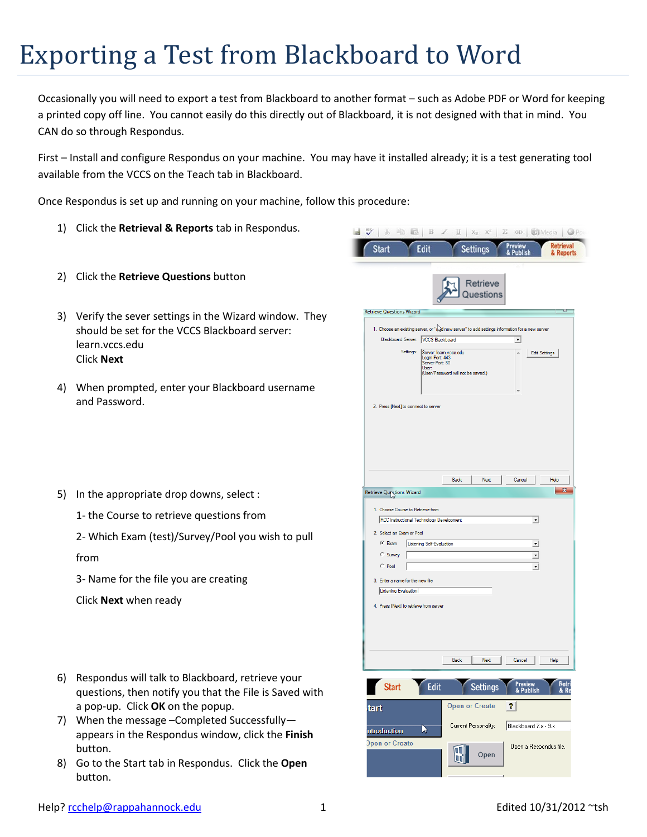## Exporting a Test from Blackboard to Word

Occasionally you will need to export a test from Blackboard to another format – such as Adobe PDF or Word for keeping a printed copy off line. You cannot easily do this directly out of Blackboard, it is not designed with that in mind. You CAN do so through Respondus.

First – Install and configure Respondus on your machine. You may have it installed already; it is a test generating tool available from the VCCS on the Teach tab in Blackboard.

Once Respondus is set up and running on your machine, follow this procedure:

- 1) Click the **Retrieval & Reports** tab in Respondus.
- 2) Click the **Retrieve Questions** button
- 3) Verify the sever settings in the Wizard window. They should be set for the VCCS Blackboard server: learn.vccs.edu Click **Next**
- 4) When prompted, enter your Blackboard username and Password.
- 5) In the appropriate drop downs, select :
	- 1- the Course to retrieve questions from
	- 2- Which Exam (test)/Survey/Pool you wish to pull

from

3- Name for the file you are creating

Click **Next** when ready

- 6) Respondus will talk to Blackboard, retrieve your questions, then notify you that the File is Saved with a pop-up. Click **OK** on the popup.
- 7) When the message –Completed Successfully appears in the Respondus window, click the **Finish** button.
- 8) Go to the Start tab in Respondus. Click the **Open** button.

| 86                               | 40 元<br>$\mathbb B$                                                           | 브<br>$X_{\mathbb{Z}}$                                                                          | $X^{\mathbb{Z}}$ $Z$        |                               |
|----------------------------------|-------------------------------------------------------------------------------|------------------------------------------------------------------------------------------------|-----------------------------|-------------------------------|
| <b>Start</b>                     | Edit                                                                          | <b>Settings</b>                                                                                | Preview<br><b>Publish</b>   | <b>Retrieval</b><br>& Reports |
|                                  |                                                                               | Retrieve<br><b>Jestions</b>                                                                    |                             |                               |
| <b>Retrieve Questions Wizard</b> |                                                                               |                                                                                                |                             | ಒ                             |
|                                  |                                                                               | 1. Choose an existing server, or "and new server" to add settings information for a new server |                             |                               |
|                                  | Blackboard Server:   VCCS Blackboard<br>Settings:                             |                                                                                                | 회                           |                               |
|                                  | Server: leam.vccs.edu<br>Login Port: 443<br>Server Port: 80<br>User:          | (User/Password will not be saved.)                                                             | Ä                           | <b>Edit Settings</b>          |
|                                  | 2. Press [Next] to connect to server                                          |                                                                                                |                             |                               |
| <b>Retrieve Questions Wizard</b> |                                                                               | Back<br>Next                                                                                   | Cancel                      | Help<br>X                     |
|                                  |                                                                               |                                                                                                |                             |                               |
|                                  | 1. Choose Course to Retrieve from<br>RCC Instructional Technology Development |                                                                                                | ᅬ                           |                               |
| 2. Select an Exam or Pool        |                                                                               |                                                                                                |                             |                               |
| $G$ Exam                         | Listening Self-Evaluation                                                     |                                                                                                | $\blacktriangledown$        |                               |
| C Survey                         |                                                                               |                                                                                                | $\overline{\phantom{a}}$    |                               |
| C Pool                           |                                                                               |                                                                                                | ▾                           |                               |
| Listening Evaluation             | 3. Enter a name for the new file                                              |                                                                                                |                             |                               |
|                                  | 4. Press [Next] to retrieve from server                                       |                                                                                                |                             |                               |
|                                  |                                                                               |                                                                                                |                             |                               |
|                                  |                                                                               | <b>Back</b><br>Next                                                                            | Cancel                      | Help                          |
| <b>Start</b>                     | Edit                                                                          | <b>Settings</b>                                                                                | <b>Preview</b><br>& Publish |                               |
| tart                             |                                                                               | <b>Open or Create</b>                                                                          | 7                           |                               |
| ntroduction                      | ド                                                                             | Current Personality:                                                                           | Blackboard 7.x - 9.x        |                               |
| <b>Open or Create</b>            |                                                                               | Open                                                                                           | Open a Respondus file.      |                               |
|                                  |                                                                               |                                                                                                |                             |                               |
|                                  |                                                                               |                                                                                                |                             |                               |